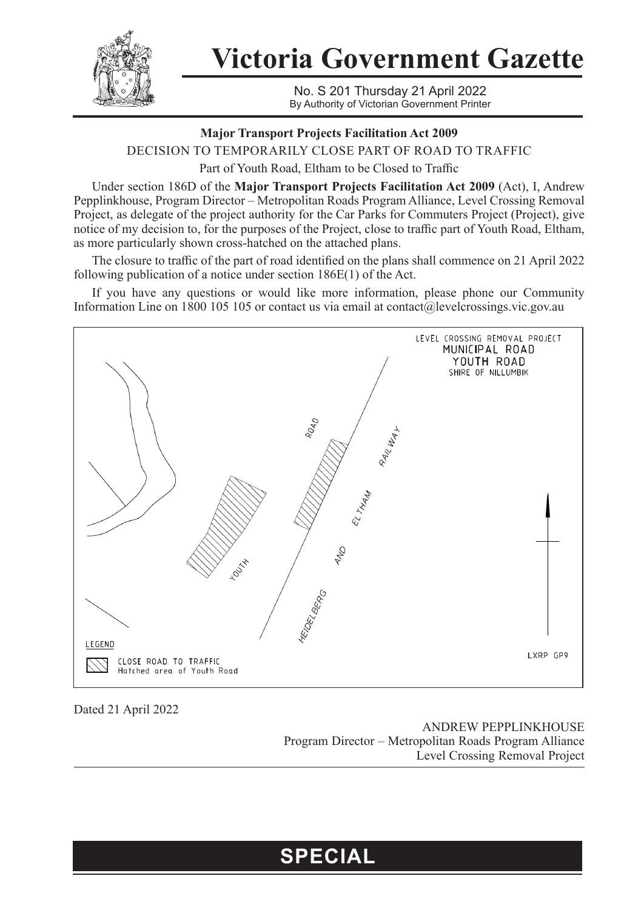

**Victoria Government Gazette**

No. S 201 Thursday 21 April 2022 By Authority of Victorian Government Printer

## **Major Transport Projects Facilitation Act 2009**

DECISION TO TEMPORARILY CLOSE PART OF ROAD TO TRAFFIC

Part of Youth Road, Eltham to be Closed to Traffic

Under section 186D of the **Major Transport Projects Facilitation Act 2009** (Act), I, Andrew Pepplinkhouse, Program Director – Metropolitan Roads Program Alliance, Level Crossing Removal Project, as delegate of the project authority for the Car Parks for Commuters Project (Project), give notice of my decision to, for the purposes of the Project, close to traffic part of Youth Road, Eltham, as more particularly shown cross-hatched on the attached plans.

The closure to traffic of the part of road identified on the plans shall commence on 21 April 2022 following publication of a notice under section 186E(1) of the Act.

If you have any questions or would like more information, please phone our Community Information Line on 1800 105 105 or contact us via email at contact@levelcrossings.vic.gov.au



Dated 21 April 2022

ANDREW PEPPLINKHOUSE Program Director – Metropolitan Roads Program Alliance Level Crossing Removal Project

## **SPECIAL**